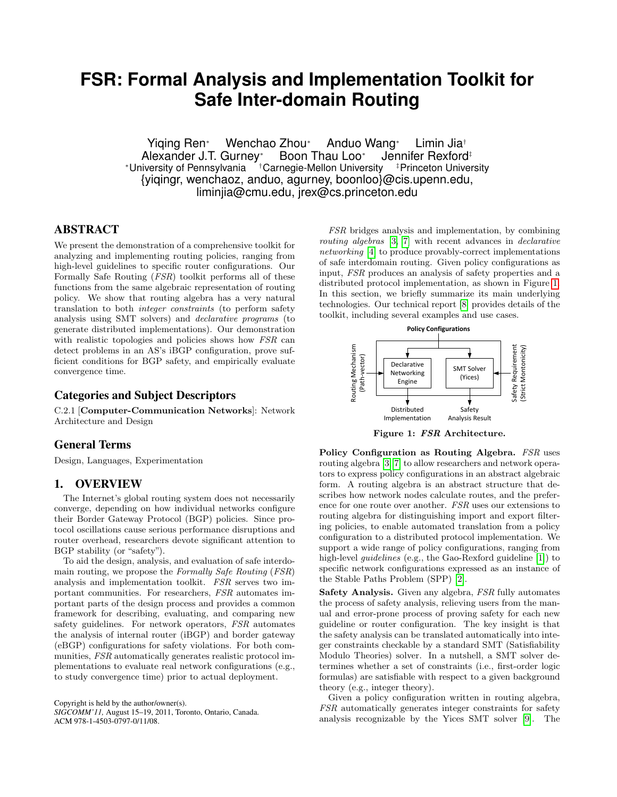# **FSR: Formal Analysis and Implementation Toolkit for Safe Inter-domain Routing**

Yiqing Ren<sup>∗</sup> Wenchao Zhou<sup>∗</sup> Anduo Wang<sup>∗</sup> Limin Jia† Alexander J.T. Gurney<sup>∗</sup> Boon Thau Loo<sup>∗</sup> Jennifer Rexford‡ <sup>∗</sup>University of Pennsylvania †Carnegie-Mellon University ‡Princeton University {yiqingr, wenchaoz, anduo, agurney, boonloo}@cis.upenn.edu, liminjia@cmu.edu, jrex@cs.princeton.edu

## ABSTRACT

We present the demonstration of a comprehensive toolkit for analyzing and implementing routing policies, ranging from high-level guidelines to specific router configurations. Our Formally Safe Routing (FSR) toolkit performs all of these functions from the same algebraic representation of routing policy. We show that routing algebra has a very natural translation to both integer constraints (to perform safety analysis using SMT solvers) and declarative programs (to generate distributed implementations). Our demonstration with realistic topologies and policies shows how FSR can detect problems in an AS's iBGP configuration, prove sufficient conditions for BGP safety, and empirically evaluate convergence time.

## Categories and Subject Descriptors

C.2.1 [Computer-Communication Networks]: Network Architecture and Design

#### General Terms

Design, Languages, Experimentation

### 1. OVERVIEW

The Internet's global routing system does not necessarily converge, depending on how individual networks configure their Border Gateway Protocol (BGP) policies. Since protocol oscillations cause serious performance disruptions and router overhead, researchers devote significant attention to BGP stability (or "safety").

To aid the design, analysis, and evaluation of safe interdomain routing, we propose the Formally Safe Routing (FSR) analysis and implementation toolkit. FSR serves two important communities. For researchers, FSR automates important parts of the design process and provides a common framework for describing, evaluating, and comparing new safety guidelines. For network operators, FSR automates the analysis of internal router (iBGP) and border gateway (eBGP) configurations for safety violations. For both communities, FSR automatically generates realistic protocol implementations to evaluate real network configurations (e.g., to study convergence time) prior to actual deployment.

Copyright is held by the author/owner(s). *SIGCOMM'11,* August 15–19, 2011, Toronto, Ontario, Canada. ACM 978-1-4503-0797-0/11/08.

FSR bridges analysis and implementation, by combining routing algebras [\[3,](#page-1-0) [7\]](#page-1-1) with recent advances in declarative networking [\[4\]](#page-1-2) to produce provably-correct implementations of safe interdomain routing. Given policy configurations as input, FSR produces an analysis of safety properties and a distributed protocol implementation, as shown in Figure [1.](#page-0-0) In this section, we briefly summarize its main underlying technologies. Our technical report [\[8\]](#page-1-3) provides details of the toolkit, including several examples and use cases.



<span id="page-0-0"></span>Figure 1: FSR Architecture.

Policy Configuration as Routing Algebra. FSR uses routing algebra [\[3,](#page-1-0) [7\]](#page-1-1) to allow researchers and network operators to express policy configurations in an abstract algebraic form. A routing algebra is an abstract structure that describes how network nodes calculate routes, and the preference for one route over another. FSR uses our extensions to routing algebra for distinguishing import and export filtering policies, to enable automated translation from a policy configuration to a distributed protocol implementation. We support a wide range of policy configurations, ranging from high-level *guidelines* (e.g., the Gao-Rexford guideline [\[1\]](#page-1-4)) to specific network configurations expressed as an instance of the Stable Paths Problem (SPP) [\[2\]](#page-1-5).

Safety Analysis. Given any algebra, FSR fully automates the process of safety analysis, relieving users from the manual and error-prone process of proving safety for each new guideline or router configuration. The key insight is that the safety analysis can be translated automatically into integer constraints checkable by a standard SMT (Satisfiability Modulo Theories) solver. In a nutshell, a SMT solver determines whether a set of constraints (i.e., first-order logic formulas) are satisfiable with respect to a given background theory (e.g., integer theory).

Given a policy configuration written in routing algebra, FSR automatically generates integer constraints for safety analysis recognizable by the Yices SMT solver [\[9\]](#page-1-6). The